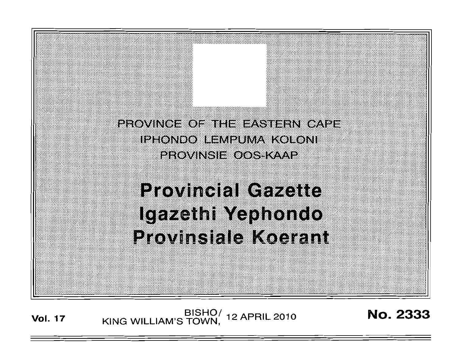

BISHO/ 12 APRIL 2010<br>KING WILLIAM'S TOWN, 12 APRIL 2010 **Vol. 17** 

**No. 2333**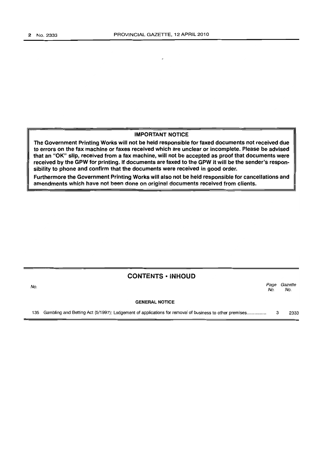### IMPORTANT NOTICE

The Government Printing Works will not be held responsible for faxed documents not received due to errors on the fax machine or faxes received which are unclear or incomplete. Please be advised that an "OK" slip, received from a fax machine, will not be accepted as proof that documents were received by the GPW for printing. If documents are faxed to the GPW it will be the sender's responsibility to phone and confirm that the documents were received in good order.

Furthermore the Government Printing Works will also not be held responsible for cancellations and amendments which have not been done on original documents received from clients.

### CONTENTS -INHOUD

No. Page Gazette No. No.

#### GENERAL NOTICE

135 Gambling and Betting Act (5/1997): Lodgement of applications for removal of business to other premises ............... . 3 2333